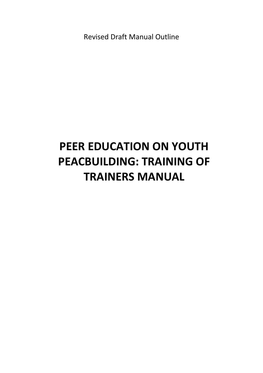Revised Draft Manual Outline

# **PEER EDUCATION ON YOUTH PEACBUILDING: TRAINING OF TRAINERS MANUAL**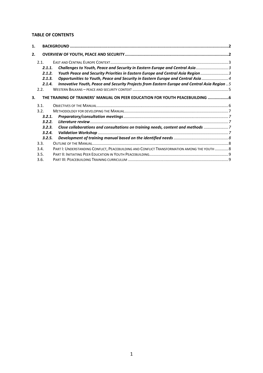#### <span id="page-1-0"></span>**TABLE OF CONTENTS**

| 1. |        |                                                                                              |  |
|----|--------|----------------------------------------------------------------------------------------------|--|
| 2. |        |                                                                                              |  |
|    | 2.1.   |                                                                                              |  |
|    | 2.1.1. |                                                                                              |  |
|    | 2.1.2. | Youth Peace and Security Priorities in Eastern Europe and Central Asia Region  3             |  |
|    | 2.1.3. | Opportunities to Youth, Peace and Security in Eastern Europe and Central Asia  4             |  |
|    | 2.1.4. | Innovative Youth, Peace and Security Projects from Eastern Europe and Central Asia Region  5 |  |
|    | 2.2.   |                                                                                              |  |
| 3. |        | THE TRAINING OF TRAINERS' MANUAL ON PEER EDUCATION FOR YOUTH PEACEBUILDING 6                 |  |
|    | 3.1.   |                                                                                              |  |
|    | 3.2.   |                                                                                              |  |
|    | 3.2.1. |                                                                                              |  |
|    | 3.2.2. |                                                                                              |  |
|    | 3.2.3. | Close collaborations and consultations on training needs, content and methods                |  |
|    | 3.2.4. |                                                                                              |  |
|    | 3.2.5. |                                                                                              |  |
|    | 3.3.   |                                                                                              |  |
|    | 3.4.   | PART I: UNDERSTANDING CONFLICT, PEACEBUILDING AND CONFLICT TRANSFORMATION AMONG THE YOUTH  8 |  |
|    | 3.5.   |                                                                                              |  |
|    | 3.6.   |                                                                                              |  |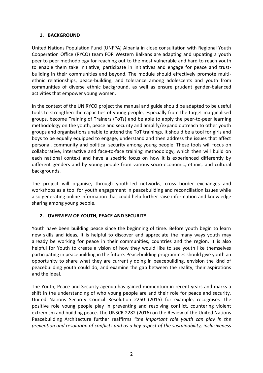#### **1. BACKGROUND**

United Nations Population Fund (UNFPA) Albania in close consultation with Regional Youth Cooperation Office (RYCO) team FOR Western Balkans are adapting and updating a youth peer to peer methodology for reaching out to the most vulnerable and hard to reach youth to enable them take initiative, participate in initiatives and engage for peace and trustbuilding in their communities and beyond. The module should effectively promote multiethnic relationships, peace-building, and tolerance among adolescents and youth from communities of diverse ethnic background, as well as ensure prudent gender-balanced activities that empower young women.

In the context of the UN RYCO project the manual and guide should be adapted to be useful tools to strengthen the capacities of young people, especially from the target marginalised groups, become Training of Trainers (ToTs) and be able to apply the peer-to-peer learning methodology on the youth, peace and security and amplify/expand outreach to other youth groups and organisations unable to attend the ToT trainings. It should be a tool for girls and boys to be equally equipped to engage, understand and then address the issues that affect personal, community and political security among young people. These tools will focus on collaborative, interactive and face-to-face training methodology, which then will build on each national context and have a specific focus on how it is experienced differently by different genders and by young people from various socio-economic, ethnic, and cultural backgrounds.

The project will organise, through youth-led networks, cross border exchanges and workshops as a tool for youth engagement in peacebuilding and reconciliation issues while also generating online information that could help further raise information and knowledge sharing among young people.

# <span id="page-2-0"></span>**2. OVERVIEW OF YOUTH, PEACE AND SECURITY**

Youth have been building peace since the beginning of time. Before youth begin to learn new skills and ideas, it is helpful to discover and appreciate the many ways youth may already be working for peace in their communities, countries and the region. It is also helpful for Youth to create a vision of how they would like to see youth like themselves participating in peacebuilding in the future. Peacebuilding programmes should give youth an opportunity to share what they are currently doing in peacebuilding, envision the kind of peacebuilding youth could do, and examine the gap between the reality, their aspirations and the ideal.

The Youth, Peace and Security agenda has gained momentum in recent years and marks a shift in the understanding of who young people are and their role for peace and security. United Nations Security Council Resolution 2250 (2015) for example, recognises the positive role young people play in preventing and resolving conflict, countering violent extremism and building peace. The UNSCR 2282 (2016) on the Review of the United Nations Peacebuilding Architecture further reaffirms *"the important role youth can play in the prevention and resolution of conflicts and as a key aspect of the sustainability, inclusiveness*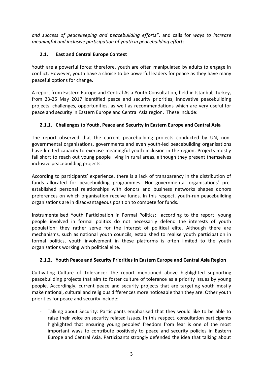*and success of peacekeeping and peacebuilding efforts"*, and calls for *ways to increase meaningful and inclusive participation of youth in peacebuilding efforts.*

# <span id="page-3-0"></span>**2.1. East and Central Europe Context**

Youth are a powerful force; therefore, youth are often manipulated by adults to engage in conflict. However, youth have a choice to be powerful leaders for peace as they have many peaceful options for change.

A report from Eastern Europe and Central Asia Youth Consultation, held in Istanbul, Turkey, from 23-25 May 2017 identified peace and security priorities, innovative peacebuilding projects, challenges, opportunities, as well as recommendations which are very useful for peace and security in Eastern Europe and Central Asia region. These include:

# <span id="page-3-1"></span>**2.1.1. Challenges to Youth, Peace and Security in Eastern Europe and Central Asia**

The report observed that the current peacebuilding projects conducted by UN, nongovernmental organisations, governments and even youth-led peacebuilding organisations have limited capacity to exercise meaningful youth inclusion in the region. Projects mostly fall short to reach out young people living in rural areas, although they present themselves inclusive peacebuilding projects.

According to participants' experience, there is a lack of transparency in the distribution of funds allocated for peacebuilding programmes. Non-governmental organisations' preestablished personal relationships with donors and business networks shapes donors preferences on which organisation receive funds. In this respect, youth-run peacebuilding organisations are in disadvantageous position to compete for funds.

Instrumentalised Youth Participation in Formal Politics: according to the report, young people involved in formal politics do not necessarily defend the interests of youth population; they rather serve for the interest of political elite. Although there are mechanisms, such as national youth councils, established to realise youth participation in formal politics, youth involvement in these platforms is often limited to the youth organisations working with political elite.

# <span id="page-3-2"></span>**2.1.2. Youth Peace and Security Priorities in Eastern Europe and Central Asia Region**

Cultivating Culture of Tolerance: The report mentioned above highlighted supporting peacebuilding projects that aim to foster culture of tolerance as a priority issues by young people. Accordingly, current peace and security projects that are targeting youth mostly make national, cultural and religious differences more noticeable than they are. Other youth priorities for peace and security include:

- Talking about Security: Participants emphasised that they would like to be able to raise their voice on security related issues. In this respect, consultation participants highlighted that ensuring young peoples' freedom from fear is one of the most important ways to contribute positively to peace and security policies in Eastern Europe and Central Asia. Participants strongly defended the idea that talking about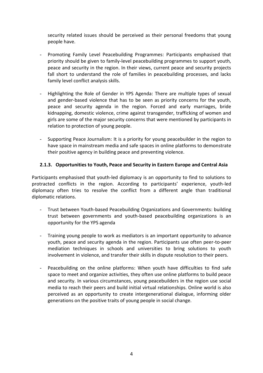<span id="page-4-1"></span>security related issues should be perceived as their personal freedoms that young people have.

- Promoting Family Level Peacebuilding Programmes: Participants emphasised that priority should be given to family-level peacebuilding programmes to support youth, peace and security in the region. In their views, current peace and security projects fall short to understand the role of families in peacebuilding processes, and lacks family level conflict analysis skills.
- Highlighting the Role of Gender in YPS Agenda: There are multiple types of sexual and gender-based violence that has to be seen as priority concerns for the youth, peace and security agenda in the region. Forced and early marriages, bride kidnapping, domestic violence, crime against transgender, trafficking of women and girls are some of the major security concerns that were mentioned by participants in relation to protection of young people.
- Supporting Peace Journalism: It is a priority for young peacebuilder in the region to have space in mainstream media and safe spaces in online platforms to demonstrate their positive agency in building peace and preventing violence.

## <span id="page-4-0"></span>**2.1.3. Opportunities to Youth, Peace and Security in Eastern Europe and Central Asia**

Participants emphasised that youth-led diplomacy is an opportunity to find to solutions to protracted conflicts in the region. According to participants' experience, youth-led diplomacy often tries to resolve the conflict from a different angle than traditional diplomatic relations.

- Trust between Youth-based Peacebuilding Organizations and Governments: building trust between governments and youth-based peacebuilding organizations is an opportunity for the YPS agenda
- Training young people to work as mediators is an important opportunity to advance youth, peace and security agenda in the region. Participants use often peer-to-peer mediation techniques in schools and universities to bring solutions to youth involvement in violence, and transfer their skills in dispute resolution to their peers.
- Peacebuilding on the online platforms: When youth have difficulties to find safe space to meet and organize activities, they often use online platforms to build peace and security. In various circumstances, young peacebuilders in the region use social media to reach their peers and build initial virtual relationships. Online world is also perceived as an opportunity to create intergenerational dialogue, informing older generations on the positive traits of young people in social change.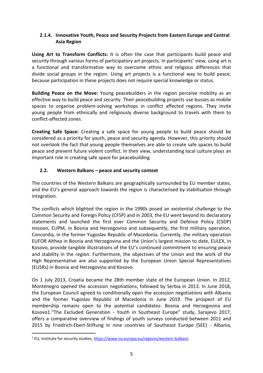## **2.1.4. Innovative Youth, Peace and Security Projects from Eastern Europe and Central Asia Region**

**Using Art to Transform Conflicts:** It is often the case that participants build peace and security through various forms of participatory art projects. In participants' view, using art is a functional and transformative way to overcome ethnic and religious differences that divide social groups in the region. Using art projects is a functional way to build peace, because participation in these projects does not require special knowledge or status.

**Building Peace on the Move:** Young peacebuilders in the region perceive mobility as an effective way to build peace and security. Their peacebuilding projects use busses as mobile spaces to organise problem-solving workshops in conflict affected regions. They invite young people from ethnically and religiously diverse background to travels with them to conflict-affected zones.

**Creating Safe Space:** Creating a safe space for young people to build peace should be considered as a priority for youth, peace and security agenda. However, this priority should not overlook the fact that young people themselves are able to create safe spaces to build peace and prevent future violent conflict. In their view, understanding local culture plays an important role in creating safe space for peacebuilding.

# <span id="page-5-0"></span>**2.2. Western Balkans – peace and security context**

The countries of the Western Balkans are geographically surrounded by EU member states, and the EU's general approach towards the region is characterised by stabilisation through integration.

The conflicts which blighted the region in the 1990s posed an existential challenge to the Common Security and Foreign Policy (CFSP) and in 2003, the EU went beyond its declaratory statements and launched the first ever Common Security and Defence Policy (CSDP) mission, EUPM, in Bosnia and Herzegovina and subsequently, the first military operation, Concordia, in the former Yugoslav Republic of Macedonia. Currently, the military operation EUFOR Althea in Bosnia and Herzegovina and the Union's largest mission to date, EULEX, in Kosovo, provide tangible illustrations of the EU's continued commitment to ensuring peace and stability in the region. Furthermore, the objectives of the Union and the work of the High Representative are also supported by the European Union Special Representatives (EUSRs) in Bosnia and Herzegovina and Kosovo.

On 1 July 2013, Croatia became the 28th member state of the European Union. In 2012, Montenegro opened the accession negotiations, followed by Serbia in 2013. In June 2018, the European Council agreed to conditionally open the accession negotiations with Albania and the former Yugoslav Republic of Macedonia in June 2019. The prospect of EU membership remains open to the potential candidates: Bosnia and Herzegovina and Kosovo1."The Excluded Generation - Youth in Southeast Europe" study, Sarajevo 2017, offers a comparative overview of findings of youth surveys conducted between 2011 and 2015 by Friedrich-Ebert-Stiftung in nine countries of Southeast Europe (SEE) - Albania,

 $\overline{a}$ 

<sup>&</sup>lt;sup>1</sup> EU, Institute for security studies,<https://www.iss.europa.eu/regions/western-balkans>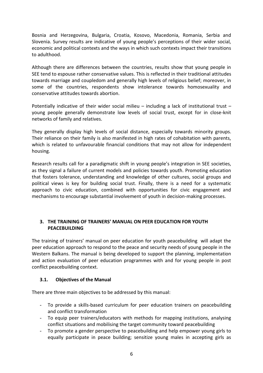Bosnia and Herzegovina, Bulgaria, Croatia, Kosovo, Macedonia, Romania, Serbia and Slovenia. Survey results are indicative of young people's perceptions of their wider social, economic and political contexts and the ways in which such contexts impact their transitions to adulthood.

Although there are differences between the countries, results show that young people in SEE tend to espouse rather conservative values. This is reflected in their traditional attitudes towards marriage and coupledom and generally high levels of religious belief; moreover, in some of the countries, respondents show intolerance towards homosexuality and conservative attitudes towards abortion.

Potentially indicative of their wider social milieu – including a lack of institutional trust – young people generally demonstrate low levels of social trust, except for in close-knit networks of family and relatives.

They generally display high levels of social distance, especially towards minority groups. Their reliance on their family is also manifested in high rates of cohabitation with parents, which is related to unfavourable financial conditions that may not allow for independent housing.

Research results call for a paradigmatic shift in young people's integration in SEE societies, as they signal a failure of current models and policies towards youth. Promoting education that fosters tolerance, understanding and knowledge of other cultures, social groups and political views is key for building social trust. Finally, there is a need for a systematic approach to civic education, combined with opportunities for civic engagement and mechanisms to encourage substantial involvement of youth in decision-making processes.

#### <span id="page-6-0"></span>**3. THE TRAINING OF TRAINERS' MANUAL ON PEER EDUCATION FOR YOUTH PEACEBUILDING**

The training of trainers' manual on peer education for youth peacebuilding will adapt the peer education approach to respond to the peace and security needs of young people in the Western Balkans. The manual is being developed to support the planning, implementation and action evaluation of peer education programmes with and for young people in post conflict peacebuilding context.

#### <span id="page-6-1"></span>**3.1. Objectives of the Manual**

There are three main objectives to be addressed by this manual:

- To provide a skills-based curriculum for peer education trainers on peacebuilding and conflict transformation
- To equip peer trainers/educators with methods for mapping institutions, analysing conflict situations and mobilising the target community toward peacebuilding
- To promote a gender perspective to peacebuilding and help empower young girls to equally participate in peace building; sensitize young males in accepting girls as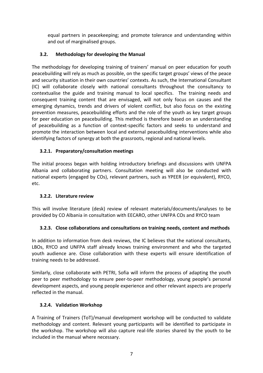<span id="page-7-5"></span>equal partners in peacekeeping; and promote tolerance and understanding within and out of marginalised groups.

# <span id="page-7-0"></span>**3.2. Methodology for developing the Manual**

The methodology for developing training of trainers' manual on peer education for youth peacebuilding will rely as much as possible, on the specific target groups' views of the peace and security situation in their own countries' contexts. As such, the International Consultant (IC) will collaborate closely with national consultants throughout the consultancy to contextualise the guide and training manual to local specifics. The training needs and consequent training content that are envisaged, will not only focus on causes and the emerging dynamics, trends and drivers of violent conflict, but also focus on the existing prevention measures, peacebuilding efforts and the role of the youth as key target groups for peer education on peacebuilding. This method is therefore based on an understanding of peacebuilding as a function of context-specific factors and seeks to understand and promote the interaction between local and external peacebuilding interventions while also identifying factors of synergy at both the grassroots, regional and national levels.

# <span id="page-7-1"></span>**3.2.1. Preparatory/consultation meetings**

The initial process began with holding introductory briefings and discussions with UNFPA Albania and collaborating partners. Consultation meeting will also be conducted with national experts (engaged by COs), relevant partners, such as YPEER (or equivalent), RYCO, etc.

# <span id="page-7-2"></span>**3.2.2. Literature review**

This will involve literature (desk) review of relevant materials/documents/analyses to be provided by CO Albania in consultation with EECARO, other UNFPA COs and RYCO team

# <span id="page-7-3"></span>**3.2.3. Close collaborations and consultations on training needs, content and methods**

In addition to information from desk reviews, the IC believes that the national consultants, LBOs, RYCO and UNFPA staff already knows training environment and who the targeted youth audience are. Close collaboration with these experts will ensure identification of training needs to be addressed.

Similarly, close collaborate with PETRI, Sofia will inform the process of adapting the youth peer to peer methodology to ensure peer-to-peer methodology, young people's personal development aspects, and young people experience and other relevant aspects are properly reflected in the manual.

# <span id="page-7-4"></span>**3.2.4. Validation Workshop**

A Training of Trainers (ToT)/manual development workshop will be conducted to validate methodology and content. Relevant young participants will be identified to participate in the workshop. The workshop will also capture real-life stories shared by the youth to be included in the manual where necessary.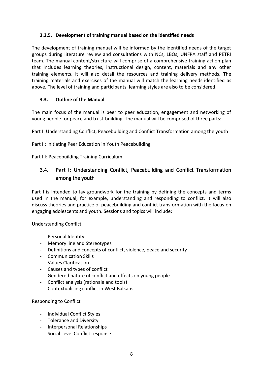## **3.2.5. Development of training manual based on the identified needs**

The development of training manual will be informed by the identified needs of the target groups during literature review and consultations with NCs, LBOs, UNFPA staff and PETRI team. The manual content/structure will comprise of a comprehensive training action plan that includes learning theories, instructional design, content, materials and any other training elements. It will also detail the resources and training delivery methods. The training materials and exercises of the manual will match the learning needs identified as above. The level of training and participants' learning styles are also to be considered.

## <span id="page-8-0"></span>**3.3. Outline of the Manual**

The main focus of the manual is peer to peer education, engagement and networking of young people for peace and trust-building. The manual will be comprised of three parts:

Part I: Understanding Conflict, Peacebuilding and Conflict Transformation among the youth

Part II: Initiating Peer Education in Youth Peacebuilding

Part III: Peacebuilding Training Curriculum

# <span id="page-8-1"></span>3.4. **Part I:** Understanding Conflict, Peacebuilding and Conflict Transformation among the youth

Part I is intended to lay groundwork for the training by defining the concepts and terms used in the manual, for example, understanding and responding to conflict. It will also discuss theories and practice of peacebuilding and conflict transformation with the focus on engaging adolescents and youth. Sessions and topics will include:

Understanding Conflict

- Personal Identity
- Memory line and Stereotypes
- Definitions and concepts of conflict, violence, peace and security
- Communication Skills
- Values Clarification
- Causes and types of conflict
- Gendered nature of conflict and effects on young people
- Conflict analysis (rationale and tools)
- Contextualising conflict in West Balkans

#### Responding to Conflict

- Individual Conflict Styles
- Tolerance and Diversity
- Interpersonal Relationships
- Social Level Conflict response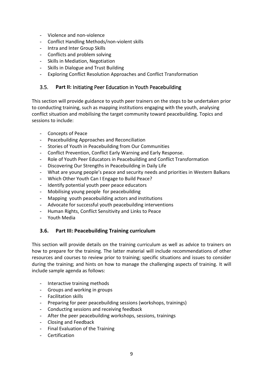- Violence and non-violence
- Conflict Handling Methods/non-violent skills
- Intra and Inter Group Skills
- Conflicts and problem solving
- Skills in Mediation, Negotiation
- Skills in Dialogue and Trust Building
- Exploring Conflict Resolution Approaches and Conflict Transformation

# <span id="page-9-0"></span>3.5. **Part II:** Initiating Peer Education in Youth Peacebuilding

This section will provide guidance to youth peer trainers on the steps to be undertaken prior to conducting training, such as mapping institutions engaging with the youth, analysing conflict situation and mobilising the target community toward peacebuilding. Topics and sessions to include:

- Concepts of Peace
- Peacebuilding Approaches and Reconciliation
- Stories of Youth in Peacebuilding from Our Communities
- Conflict Prevention, Conflict Early Warning and Early Response.
- Role of Youth Peer Educators in Peacebuilding and Conflict Transformation
- Discovering Our Strengths in Peacebuilding in Daily Life
- What are young people's peace and security needs and priorities in Western Balkans
- Which Other Youth Can I Engage to Build Peace?
- Identify potential youth peer peace educators
- Mobilising young people for peacebuilding
- Mapping youth peacebuilding actors and institutions
- Advocate for successful youth peacebuilding interventions
- Human Rights, Conflict Sensitivity and Links to Peace
- Youth Media

# <span id="page-9-1"></span>**3.6. Part III: Peacebuilding Training curriculum**

This section will provide details on the training curriculum as well as advice to trainers on how to prepare for the training. The latter material will include recommendations of other resources and courses to review prior to training; specific situations and issues to consider during the training; and hints on how to manage the challenging aspects of training. It will include sample agenda as follows:

- Interactive training methods
- Groups and working in groups
- Facilitation skills
- Preparing for peer peacebuilding sessions (workshops, trainings)
- Conducting sessions and receiving feedback
- After the peer peacebuilding workshops, sessions, trainings
- Closing and Feedback
- Final Evaluation of the Training
- Certification